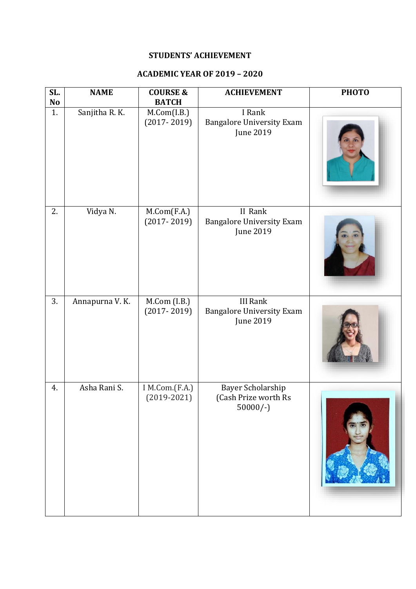## **STUDENTS' ACHIEVEMENT**

## **ACADEMIC YEAR OF 2019 – 2020**

| SL.<br>No | <b>NAME</b>    | <b>COURSE &amp;</b><br><b>BATCH</b> | <b>ACHIEVEMENT</b>                                               | <b>PHOTO</b> |
|-----------|----------------|-------------------------------------|------------------------------------------------------------------|--------------|
| 1.        | Sanjitha R. K. | M.Com(I.B.)<br>$(2017 - 2019)$      | I Rank<br><b>Bangalore University Exam</b><br>June 2019          |              |
| 2.        | Vidya N.       | M.Com(F.A.)<br>$(2017 - 2019)$      | II Rank<br><b>Bangalore University Exam</b><br>June 2019         |              |
| 3.        | Annapurna V.K. | M.Com (I.B.)<br>$(2017 - 2019)$     | <b>III Rank</b><br><b>Bangalore University Exam</b><br>June 2019 |              |
| 4.        | Asha Rani S.   | I M.Com.(F.A.)<br>$(2019 - 2021)$   | Bayer Scholarship<br>(Cash Prize worth Rs<br>$50000/-$           |              |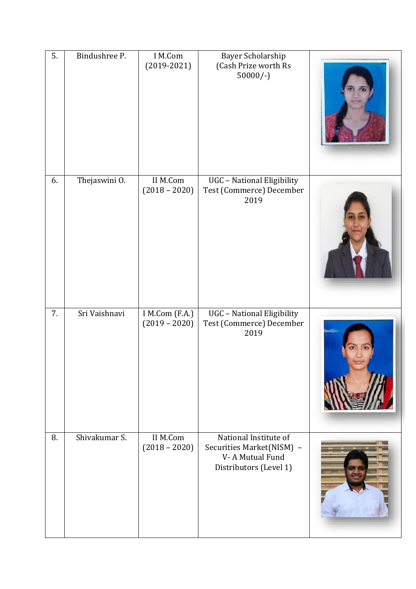| 5. | Bindushree P. | I M.Com<br>$(2019 - 2021)$        | Bayer Scholarship<br>(Cash Prize worth Rs<br>$50000/-$                                          |  |
|----|---------------|-----------------------------------|-------------------------------------------------------------------------------------------------|--|
| 6. | Thejaswini O. | II M.Com<br>$(2018 - 2020)$       | UGC - National Eligibility<br>Test (Commerce) December<br>2019                                  |  |
| 7. | Sri Vaishnavi | I M.Com (F.A.)<br>$(2019 - 2020)$ | UGC - National Eligibility<br>Test (Commerce) December<br>2019                                  |  |
| 8. | Shivakumar S. | II M.Com<br>$(2018 - 2020)$       | National Institute of<br>Securities Market(NISM) -<br>V-A Mutual Fund<br>Distributors (Level 1) |  |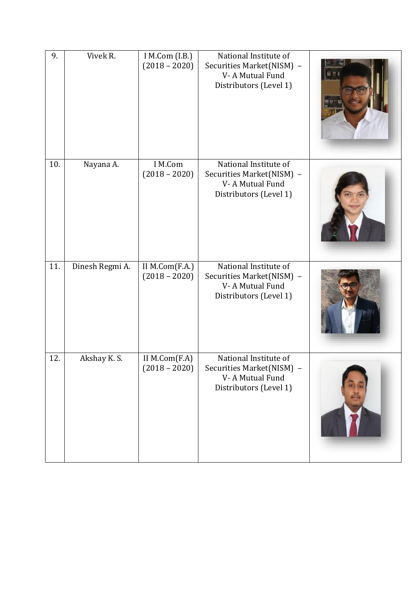| 9.  | Vivek R.        | I M.Com (I.B.)<br>$(2018 - 2020)$ | National Institute of<br>Securities Market(NISM) -<br>V-A Mutual Fund<br>Distributors (Level 1) |  |
|-----|-----------------|-----------------------------------|-------------------------------------------------------------------------------------------------|--|
| 10. | Nayana A.       | I M.Com<br>$(2018 - 2020)$        | National Institute of<br>Securities Market(NISM) -<br>V-A Mutual Fund<br>Distributors (Level 1) |  |
| 11. | Dinesh Regmi A. | II M.Com(F.A.)<br>$(2018 - 2020)$ | National Institute of<br>Securities Market(NISM) -<br>V-A Mutual Fund<br>Distributors (Level 1) |  |
| 12. | Akshay K.S.     | II M.Com(F.A)<br>$(2018 - 2020)$  | National Institute of<br>Securities Market(NISM) -<br>V-A Mutual Fund<br>Distributors (Level 1) |  |